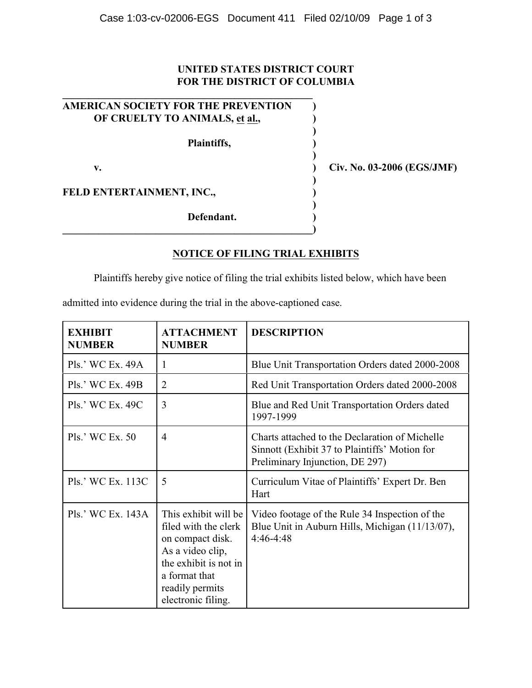## **UNITED STATES DISTRICT COURT FOR THE DISTRICT OF COLUMBIA**

| <b>AMERICAN SOCIETY FOR THE PREVENTION</b> |  |  |
|--------------------------------------------|--|--|
| OF CRUELTY TO ANIMALS, et al.,             |  |  |
|                                            |  |  |
| Plaintiffs,                                |  |  |
|                                            |  |  |
| v.                                         |  |  |
|                                            |  |  |
| FELD ENTERTAINMENT, INC.,                  |  |  |
|                                            |  |  |
| Defendant.                                 |  |  |
|                                            |  |  |

**\_\_\_\_\_\_\_\_\_\_\_\_\_\_\_\_\_\_\_\_\_\_\_\_\_\_\_\_\_\_\_\_\_\_\_\_\_\_\_\_\_\_\_\_\_\_\_\_**

**v. ) Civ. No. 03-2006 (EGS/JMF)**

## **NOTICE OF FILING TRIAL EXHIBITS**

Plaintiffs hereby give notice of filing the trial exhibits listed below, which have been

admitted into evidence during the trial in the above-captioned case.

| <b>EXHIBIT</b><br><b>NUMBER</b> | <b>ATTACHMENT</b><br><b>NUMBER</b>                                                                                                                                      | <b>DESCRIPTION</b>                                                                                                                 |
|---------------------------------|-------------------------------------------------------------------------------------------------------------------------------------------------------------------------|------------------------------------------------------------------------------------------------------------------------------------|
| Pls.' WC Ex. 49A                | 1                                                                                                                                                                       | Blue Unit Transportation Orders dated 2000-2008                                                                                    |
| Pls.' WC Ex. 49B                | 2                                                                                                                                                                       | Red Unit Transportation Orders dated 2000-2008                                                                                     |
| Pls.' WC Ex. 49C                | $\overline{3}$                                                                                                                                                          | Blue and Red Unit Transportation Orders dated<br>1997-1999                                                                         |
| Pls.' WC Ex. 50                 | $\overline{4}$                                                                                                                                                          | Charts attached to the Declaration of Michelle<br>Sinnott (Exhibit 37 to Plaintiffs' Motion for<br>Preliminary Injunction, DE 297) |
| Pls.' WC Ex. 113C               | 5                                                                                                                                                                       | Curriculum Vitae of Plaintiffs' Expert Dr. Ben<br>Hart                                                                             |
| Pls.' WC Ex. 143A               | This exhibit will be<br>filed with the clerk<br>on compact disk.<br>As a video clip,<br>the exhibit is not in<br>a format that<br>readily permits<br>electronic filing. | Video footage of the Rule 34 Inspection of the<br>Blue Unit in Auburn Hills, Michigan (11/13/07),<br>$4:46-4:48$                   |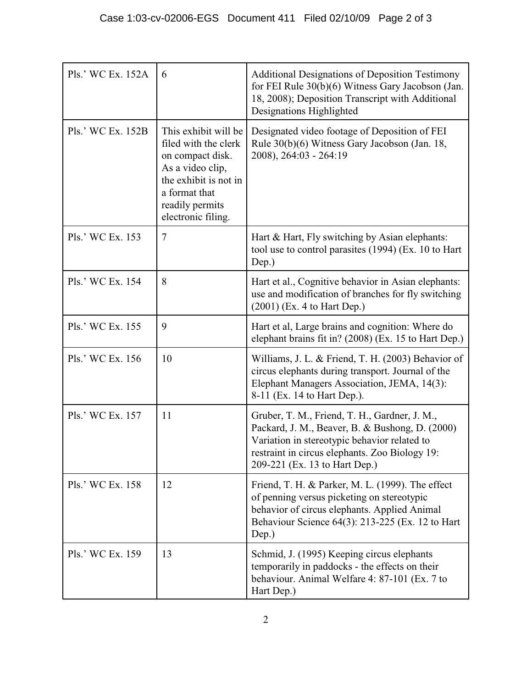| Pls.' WC Ex. 152A | 6                                                                                                                                                                       | <b>Additional Designations of Deposition Testimony</b><br>for FEI Rule 30(b)(6) Witness Gary Jacobson (Jan.<br>18, 2008); Deposition Transcript with Additional<br>Designations Highlighted                                         |
|-------------------|-------------------------------------------------------------------------------------------------------------------------------------------------------------------------|-------------------------------------------------------------------------------------------------------------------------------------------------------------------------------------------------------------------------------------|
| Pls.' WC Ex. 152B | This exhibit will be<br>filed with the clerk<br>on compact disk.<br>As a video clip,<br>the exhibit is not in<br>a format that<br>readily permits<br>electronic filing. | Designated video footage of Deposition of FEI<br>Rule 30(b)(6) Witness Gary Jacobson (Jan. 18,<br>2008), 264:03 - 264:19                                                                                                            |
| Pls.' WC Ex. 153  | $\tau$                                                                                                                                                                  | Hart & Hart, Fly switching by Asian elephants:<br>tool use to control parasites (1994) (Ex. 10 to Hart<br>Dep.)                                                                                                                     |
| Pls.' WC Ex. 154  | 8                                                                                                                                                                       | Hart et al., Cognitive behavior in Asian elephants:<br>use and modification of branches for fly switching<br>$(2001)$ (Ex. 4 to Hart Dep.)                                                                                          |
| Pls.' WC Ex. 155  | 9                                                                                                                                                                       | Hart et al, Large brains and cognition: Where do<br>elephant brains fit in? (2008) (Ex. 15 to Hart Dep.)                                                                                                                            |
| Pls.' WC Ex. 156  | 10                                                                                                                                                                      | Williams, J. L. & Friend, T. H. (2003) Behavior of<br>circus elephants during transport. Journal of the<br>Elephant Managers Association, JEMA, 14(3):<br>8-11 (Ex. 14 to Hart Dep.).                                               |
| Pls.' WC Ex. 157  | 11                                                                                                                                                                      | Gruber, T. M., Friend, T. H., Gardner, J. M.,<br>Packard, J. M., Beaver, B. & Bushong, D. (2000)<br>Variation in stereotypic behavior related to<br>restraint in circus elephants. Zoo Biology 19:<br>209-221 (Ex. 13 to Hart Dep.) |
| Pls.' WC Ex. 158  | 12                                                                                                                                                                      | Friend, T. H. & Parker, M. L. (1999). The effect<br>of penning versus picketing on stereotypic<br>behavior of circus elephants. Applied Animal<br>Behaviour Science 64(3): 213-225 (Ex. 12 to Hart<br>Dep.)                         |
| Pls.' WC Ex. 159  | 13                                                                                                                                                                      | Schmid, J. (1995) Keeping circus elephants<br>temporarily in paddocks - the effects on their<br>behaviour. Animal Welfare 4: 87-101 (Ex. 7 to<br>Hart Dep.)                                                                         |